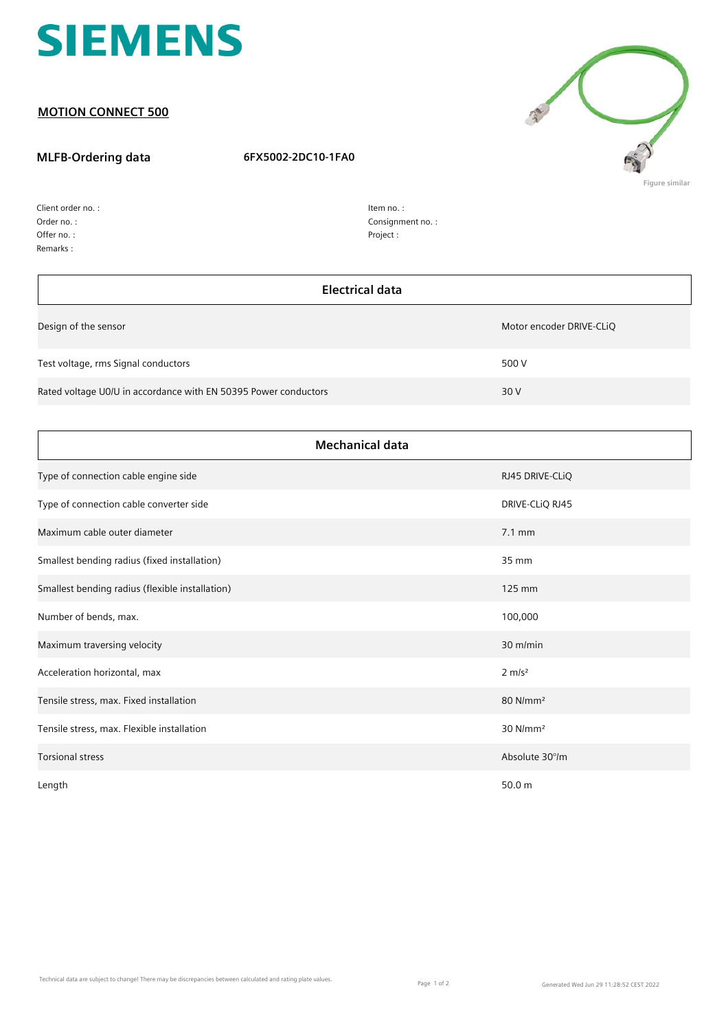

## **MOTION CONNECT 500**

## **MLFB-Ordering data 6FX5002-2DC10-1FA0**



Order no. : Offer no. : Client order no. : Remarks :

h

| ltem no. :        |
|-------------------|
| Consignment no. : |
| Project:          |

| <b>Electrical data</b>                                          |                          |
|-----------------------------------------------------------------|--------------------------|
| Design of the sensor                                            | Motor encoder DRIVE-CLIQ |
| Test voltage, rms Signal conductors                             | 500 V                    |
| Rated voltage U0/U in accordance with EN 50395 Power conductors | 30 V                     |

| <b>Mechanical data</b>                          |                      |  |
|-------------------------------------------------|----------------------|--|
| Type of connection cable engine side            | RJ45 DRIVE-CLIQ      |  |
| Type of connection cable converter side         | DRIVE-CLIQ RJ45      |  |
| Maximum cable outer diameter                    | $7.1 \text{ mm}$     |  |
| Smallest bending radius (fixed installation)    | 35 mm                |  |
| Smallest bending radius (flexible installation) | 125 mm               |  |
| Number of bends, max.                           | 100,000              |  |
| Maximum traversing velocity                     | $30$ m/min           |  |
| Acceleration horizontal, max                    | $2 \, \text{m/s}^2$  |  |
| Tensile stress, max. Fixed installation         | 80 N/mm <sup>2</sup> |  |
| Tensile stress, max. Flexible installation      | 30 N/mm <sup>2</sup> |  |
| <b>Torsional stress</b>                         | Absolute 30°/m       |  |
| Length                                          | 50.0 m               |  |